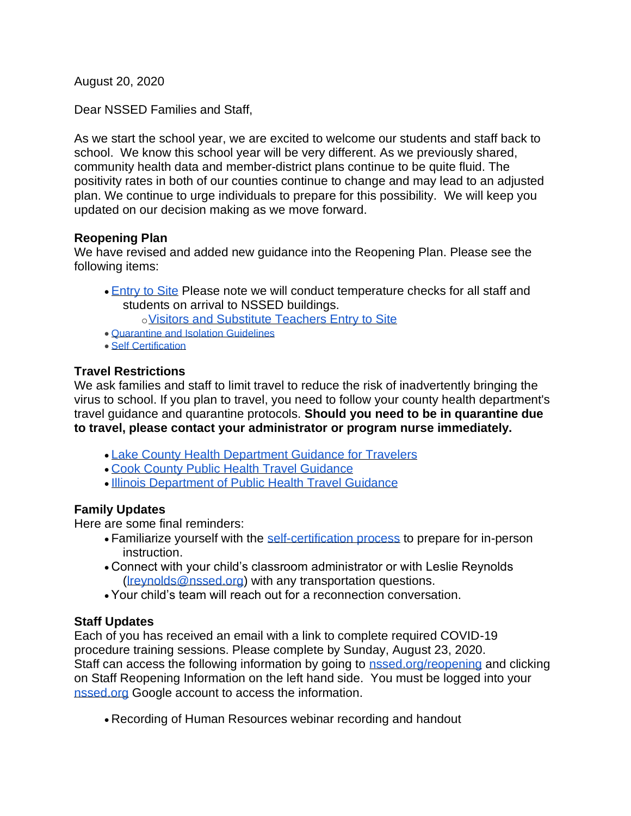August 20, 2020

Dear NSSED Families and Staff,

As we start the school year, we are excited to welcome our students and staff back to school. We know this school year will be very different. As we previously shared, community health data and member-district plans continue to be quite fluid. The positivity rates in both of our counties continue to change and may lead to an adjusted plan. We continue to urge individuals to prepare for this possibility. We will keep you updated on our decision making as we move forward.

## **Reopening Plan**

We have revised and added new guidance into the Reopening Plan. Please see the following items:

• [Entry to Site](https://docs.google.com/document/d/1fSOHV3Ld9J0ByBo7kV4N7W9WHFpFBQBibNOo2wILNcw/edit#heading=h.alz9e1t9h2w5) Please note we will conduct temperature checks for all staff and students on arrival to NSSED buildings.

o[Visitors and Substitute Teachers Entry to Site](https://docs.google.com/document/d/1fSOHV3Ld9J0ByBo7kV4N7W9WHFpFBQBibNOo2wILNcw/edit#heading=h.kwmhy47xbcka)

- [Quarantine and Isolation Guidelines](https://docs.google.com/document/d/1fSOHV3Ld9J0ByBo7kV4N7W9WHFpFBQBibNOo2wILNcw/edit#heading=h.avqrpbkr38dt)
- [Self Certification](https://docs.google.com/document/d/1fSOHV3Ld9J0ByBo7kV4N7W9WHFpFBQBibNOo2wILNcw/edit#heading=h.1z7uigcjhpbw)

## **Travel Restrictions**

We ask families and staff to limit travel to reduce the risk of inadvertently bringing the virus to school. If you plan to travel, you need to follow your county health department's travel guidance and quarantine protocols. **Should you need to be in quarantine due to travel, please contact your administrator or program nurse immediately.**

- [Lake County Health Department Guidance for Travelers](https://www.lakecountyil.gov/4412/Community-Guidance-and-Resources#travelers)
- [Cook County Public Health Travel Guidance](https://cookcountypublichealth.org/communicable-diseases/covid-19/covid-19-travel-guidance/)
- [Illinois Department of Public Health Travel Guidance](https://www.dph.illinois.gov/topics-services/diseases-and-conditions/diseases-a-z-list/coronavirus/travel-guidance)

## **Family Updates**

Here are some final reminders:

- Familiarize yourself with the [self-certification process](https://docs.google.com/document/d/1fSOHV3Ld9J0ByBo7kV4N7W9WHFpFBQBibNOo2wILNcw/edit#heading=h.1z7uigcjhpbw) to prepare for in-person instruction.
- Connect with your child's classroom administrator or with Leslie Reynolds [\(lreynolds@nssed.org\)](mailto:lreynolds@nssed.org) with any transportation questions.
- Your child's team will reach out for a reconnection conversation.

## **Staff Updates**

Each of you has received an email with a link to complete required COVID-19 procedure training sessions. Please complete by Sunday, August 23, 2020. Staff can access the following information by going to [nssed.org/reopening](https://www.nssed.org/reopening) and clicking on Staff Reopening Information on the left hand side. You must be logged into your [nssed.org](http://nssed.org/) Google account to access the information.

• Recording of Human Resources webinar recording and handout